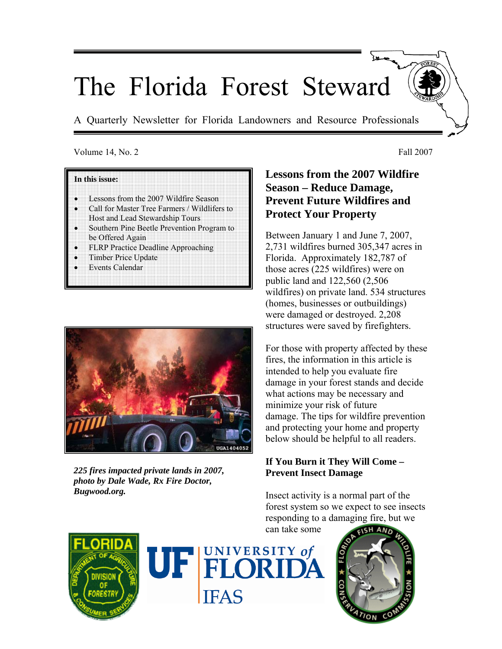# The Florida Forest Steward

A Quarterly Newsletter for Florida Landowners and Resource Professionals

#### Volume 14, No. 2 Fall 2007

#### **In this issue:**

- Lessons from the 2007 Wildfire Season
- Call for Master Tree Farmers / Wildlifers to Host and Lead Stewardship Tours
- Southern Pine Beetle Prevention Program to be Offered Again
- FLRP Practice Deadline Approaching
- Timber Price Update
- **Events Calendar**



*225 fires impacted private lands in 2007, photo by Dale Wade, Rx Fire Doctor, Bugwood.org.* 

# **Lessons from the 2007 Wildfire Season – Reduce Damage, Prevent Future Wildfires and Protect Your Property**

Between January 1 and June 7, 2007, 2,731 wildfires burned 305,347 acres in Florida. Approximately 182,787 of those acres (225 wildfires) were on public land and 122,560 (2,506 wildfires) on private land. 534 structures (homes, businesses or outbuildings) were damaged or destroyed. 2,208 structures were saved by firefighters.

For those with property affected by these fires, the information in this article is intended to help you evaluate fire damage in your forest stands and decide what actions may be necessary and minimize your risk of future damage. The tips for wildfire prevention and protecting your home and property below should be helpful to all readers.

## **If You Burn it They Will Come – Prevent Insect Damage**

Insect activity is a normal part of the forest system so we expect to see insects responding to a damaging fire, but we can take some





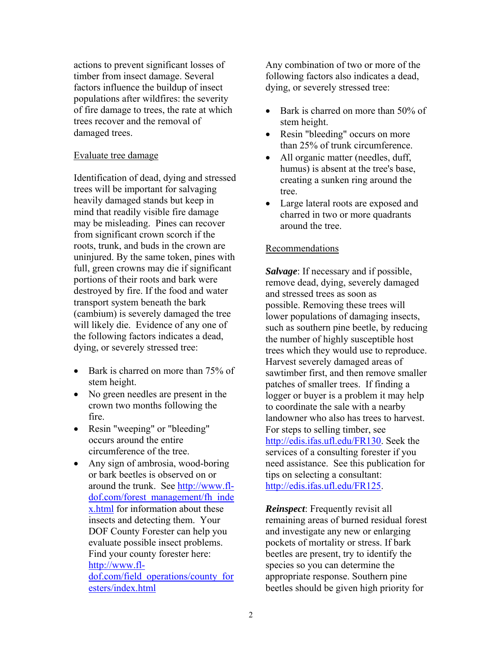actions to prevent significant losses of timber from insect damage. Several factors influence the buildup of insect populations after wildfires: the severity of fire damage to trees, the rate at which trees recover and the removal of damaged trees.

#### Evaluate tree damage

Identification of dead, dying and stressed trees will be important for salvaging heavily damaged stands but keep in mind that readily visible fire damage may be misleading. Pines can recover from significant crown scorch if the roots, trunk, and buds in the crown are uninjured. By the same token, pines with full, green crowns may die if significant portions of their roots and bark were destroyed by fire. If the food and water transport system beneath the bark (cambium) is severely damaged the tree will likely die. Evidence of any one of the following factors indicates a dead, dying, or severely stressed tree:

- Bark is charred on more than 75% of stem height.
- No green needles are present in the crown two months following the fire.
- Resin "weeping" or "bleeding" occurs around the entire circumference of the tree.
- Any sign of ambrosia, wood-boring or bark beetles is observed on or around the trunk. See [http://www.fl](http://www.fl-dof.com/forest_management/fh_index.html)[dof.com/forest\\_management/fh\\_inde](http://www.fl-dof.com/forest_management/fh_index.html) [x.html](http://www.fl-dof.com/forest_management/fh_index.html) for information about these insects and detecting them. Your DOF County Forester can help you evaluate possible insect problems. Find your county forester here: [http://www.fl](http://www.fl-dof.com/field_operations/county_foresters/index.html)[dof.com/field\\_operations/county\\_for](http://www.fl-dof.com/field_operations/county_foresters/index.html) [esters/index.html](http://www.fl-dof.com/field_operations/county_foresters/index.html)

Any combination of two or more of the following factors also indicates a dead, dying, or severely stressed tree:

- Bark is charred on more than 50% of stem height.
- Resin "bleeding" occurs on more than 25% of trunk circumference.
- All organic matter (needles, duff, humus) is absent at the tree's base, creating a sunken ring around the tree.
- Large lateral roots are exposed and charred in two or more quadrants around the tree.

### Recommendations

*Salvage*: If necessary and if possible, remove dead, dying, severely damaged and stressed trees as soon as possible. Removing these trees will lower populations of damaging insects, such as southern pine beetle, by reducing the number of highly susceptible host trees which they would use to reproduce. Harvest severely damaged areas of sawtimber first, and then remove smaller patches of smaller trees. If finding a logger or buyer is a problem it may help to coordinate the sale with a nearby landowner who also has trees to harvest. For steps to selling timber, see [http://edis.ifas.ufl.edu/FR130.](http://edis.ifas.ufl.edu/FR130) Seek the services of a consulting forester if you need assistance. See this publication for tips on selecting a consultant: [http://edis.ifas.ufl.edu/FR125.](http://edis.ifas.ufl.edu/FR125)

*Reinspect*: Frequently revisit all remaining areas of burned residual forest and investigate any new or enlarging pockets of mortality or stress. If bark beetles are present, try to identify the species so you can determine the appropriate response. Southern pine beetles should be given high priority for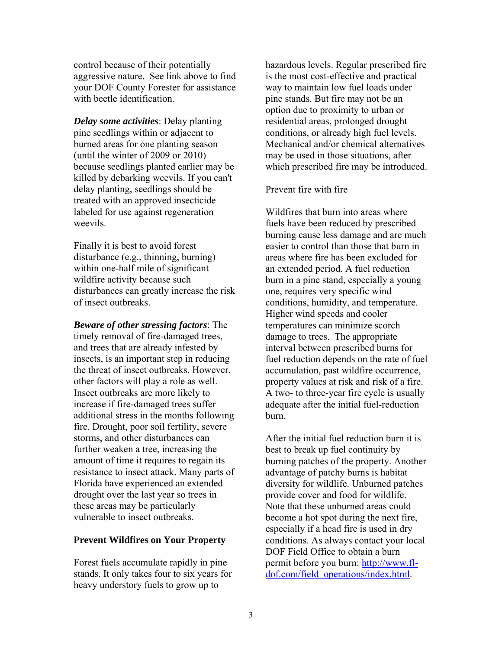control because of their potentially aggressive nature. See link above to find your DOF County Forester for assistance with beetle identification.

*Delay some activities*: Delay planting pine seedlings within or adjacent to burned areas for one planting season (until the winter of 2009 or 2010) because seedlings planted earlier may be killed by debarking weevils. If you can't delay planting, seedlings should be treated with an approved insecticide labeled for use against regeneration weevils.

Finally it is best to avoid forest disturbance (e.g., thinning, burning) within one-half mile of significant wildfire activity because such disturbances can greatly increase the risk of insect outbreaks.

*Beware of other stressing factors*: The timely removal of fire-damaged trees, and trees that are already infested by insects, is an important step in reducing the threat of insect outbreaks. However, other factors will play a role as well. Insect outbreaks are more likely to increase if fire-damaged trees suffer additional stress in the months following fire. Drought, poor soil fertility, severe storms, and other disturbances can further weaken a tree, increasing the amount of time it requires to regain its resistance to insect attack. Many parts of Florida have experienced an extended drought over the last year so trees in these areas may be particularly vulnerable to insect outbreaks.

#### **Prevent Wildfires on Your Property**

Forest fuels accumulate rapidly in pine stands. It only takes four to six years for heavy understory fuels to grow up to

hazardous levels. Regular prescribed fire is the most cost-effective and practical way to maintain low fuel loads under pine stands. But fire may not be an option due to proximity to urban or residential areas, prolonged drought conditions, or already high fuel levels. Mechanical and/or chemical alternatives may be used in those situations, after which prescribed fire may be introduced.

#### Prevent fire with fire

Wildfires that burn into areas where fuels have been reduced by prescribed burning cause less damage and are much easier to control than those that burn in areas where fire has been excluded for an extended period. A fuel reduction burn in a pine stand, especially a young one, requires very specific wind conditions, humidity, and temperature. Higher wind speeds and cooler temperatures can minimize scorch damage to trees. The appropriate interval between prescribed burns for fuel reduction depends on the rate of fuel accumulation, past wildfire occurrence, property values at risk and risk of a fire. A two- to three-year fire cycle is usually adequate after the initial fuel-reduction burn.

After the initial fuel reduction burn it is best to break up fuel continuity by burning patches of the property. Another advantage of patchy burns is habitat diversity for wildlife. Unburned patches provide cover and food for wildlife. Note that these unburned areas could become a hot spot during the next fire, especially if a head fire is used in dry conditions. As always contact your local DOF Field Office to obtain a burn permit before you burn: [http://www.fl](http://www.fl-dof.com/field_operations/index.html)[dof.com/field\\_operations/index.html.](http://www.fl-dof.com/field_operations/index.html)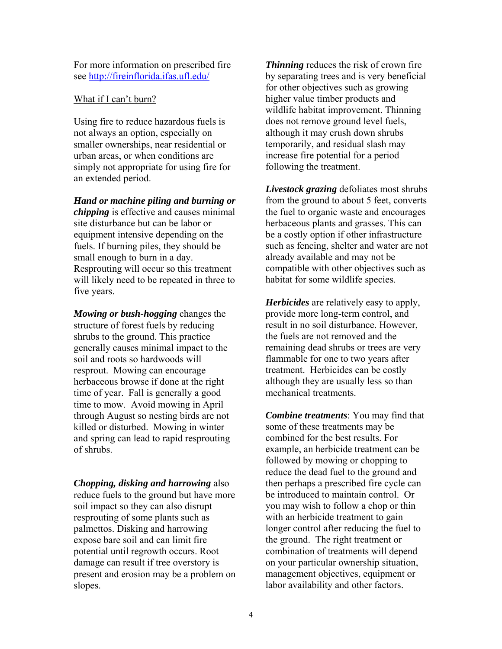For more information on prescribed fire see<http://fireinflorida.ifas.ufl.edu/>

#### What if I can't burn?

Using fire to reduce hazardous fuels is not always an option, especially on smaller ownerships, near residential or urban areas, or when conditions are simply not appropriate for using fire for an extended period.

#### *Hand or machine piling and burning or*

*chipping* is effective and causes minimal site disturbance but can be labor or equipment intensive depending on the fuels. If burning piles, they should be small enough to burn in a day. Resprouting will occur so this treatment will likely need to be repeated in three to five years.

*Mowing or bush-hogging* changes the structure of forest fuels by reducing shrubs to the ground. This practice generally causes minimal impact to the soil and roots so hardwoods will resprout. Mowing can encourage herbaceous browse if done at the right time of year. Fall is generally a good time to mow. Avoid mowing in April through August so nesting birds are not killed or disturbed. Mowing in winter and spring can lead to rapid resprouting of shrubs.

*Chopping, disking and harrowing* also reduce fuels to the ground but have more soil impact so they can also disrupt resprouting of some plants such as palmettos. Disking and harrowing expose bare soil and can limit fire potential until regrowth occurs. Root damage can result if tree overstory is present and erosion may be a problem on slopes.

*Thinning* reduces the risk of crown fire by separating trees and is very beneficial for other objectives such as growing higher value timber products and wildlife habitat improvement. Thinning does not remove ground level fuels, although it may crush down shrubs temporarily, and residual slash may increase fire potential for a period following the treatment.

*Livestock grazing* defoliates most shrubs from the ground to about 5 feet, converts the fuel to organic waste and encourages herbaceous plants and grasses. This can be a costly option if other infrastructure such as fencing, shelter and water are not already available and may not be compatible with other objectives such as habitat for some wildlife species.

*Herbicides* are relatively easy to apply, provide more long-term control, and result in no soil disturbance. However, the fuels are not removed and the remaining dead shrubs or trees are very flammable for one to two years after treatment. Herbicides can be costly although they are usually less so than mechanical treatments.

*Combine treatments*: You may find that some of these treatments may be combined for the best results. For example, an herbicide treatment can be followed by mowing or chopping to reduce the dead fuel to the ground and then perhaps a prescribed fire cycle can be introduced to maintain control. Or you may wish to follow a chop or thin with an herbicide treatment to gain longer control after reducing the fuel to the ground. The right treatment or combination of treatments will depend on your particular ownership situation, management objectives, equipment or labor availability and other factors.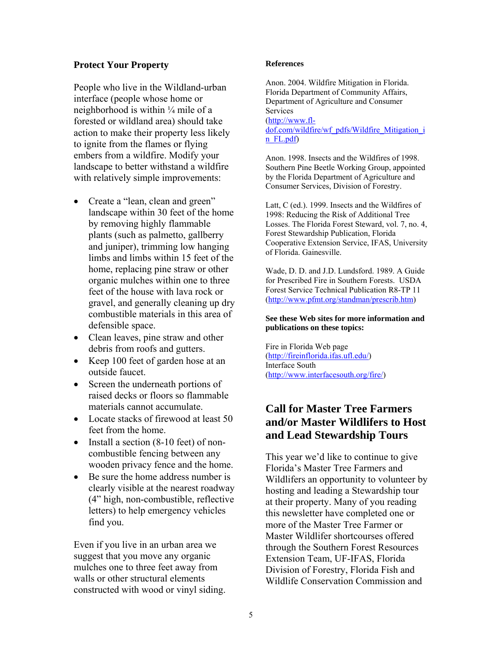#### **Protect Your Property**

People who live in the Wildland-urban interface (people whose home or neighborhood is within ¼ mile of a forested or wildland area) should take action to make their property less likely to ignite from the flames or flying embers from a wildfire. Modify your landscape to better withstand a wildfire with relatively simple improvements:

- Create a "lean, clean and green" landscape within 30 feet of the home by removing highly flammable plants (such as palmetto, gallberry and juniper), trimming low hanging limbs and limbs within 15 feet of the home, replacing pine straw or other organic mulches within one to three feet of the house with lava rock or gravel, and generally cleaning up dry combustible materials in this area of defensible space.
- Clean leaves, pine straw and other debris from roofs and gutters.
- Keep 100 feet of garden hose at an outside faucet.
- Screen the underneath portions of raised decks or floors so flammable materials cannot accumulate.
- Locate stacks of firewood at least 50 feet from the home.
- Install a section (8-10 feet) of noncombustible fencing between any wooden privacy fence and the home.
- Be sure the home address number is clearly visible at the nearest roadway (4" high, non-combustible, reflective letters) to help emergency vehicles find you.

Even if you live in an urban area we suggest that you move any organic mulches one to three feet away from walls or other structural elements constructed with wood or vinyl siding.

#### **References**

Anon. 2004. Wildfire Mitigation in Florida. Florida Department of Community Affairs, Department of Agriculture and Consumer **Services** [\(http://www.fl](http://www.fl-dof.com/wildfire/wf_pdfs/Wildfire_Mitigation_in_FL.pdf)[dof.com/wildfire/wf\\_pdfs/Wildfire\\_Mitigation\\_i](http://www.fl-dof.com/wildfire/wf_pdfs/Wildfire_Mitigation_in_FL.pdf) [n\\_FL.pdf\)](http://www.fl-dof.com/wildfire/wf_pdfs/Wildfire_Mitigation_in_FL.pdf)

Anon. 1998. Insects and the Wildfires of 1998. Southern Pine Beetle Working Group, appointed by the Florida Department of Agriculture and Consumer Services, Division of Forestry.

Latt, C (ed.). 1999. Insects and the Wildfires of 1998: Reducing the Risk of Additional Tree Losses. The Florida Forest Steward, vol. 7, no. 4, Forest Stewardship Publication, Florida Cooperative Extension Service, IFAS, University of Florida. Gainesville.

Wade, D. D. and J.D. Lundsford. 1989. A Guide for Prescribed Fire in Southern Forests. USDA Forest Service Technical Publication R8-TP 11 [\(http://www.pfmt.org/standman/prescrib.htm](http://www.pfmt.org/standman/prescrib.htm))

#### **See these Web sites for more information and publications on these topics:**

Fire in Florida Web page [\(http://fireinflorida.ifas.ufl.edu/\)](http://fireinflorida.ifas.ufl.edu/) Interface South [\(http://www.interfacesouth.org/fire/](http://www.interfacesouth.org/fire/))

## **Call for Master Tree Farmers and/or Master Wildlifers to Host and Lead Stewardship Tours**

This year we'd like to continue to give Florida's Master Tree Farmers and Wildlifers an opportunity to volunteer by hosting and leading a Stewardship tour at their property. Many of you reading this newsletter have completed one or more of the Master Tree Farmer or Master Wildlifer shortcourses offered through the Southern Forest Resources Extension Team, UF-IFAS, Florida Division of Forestry, Florida Fish and Wildlife Conservation Commission and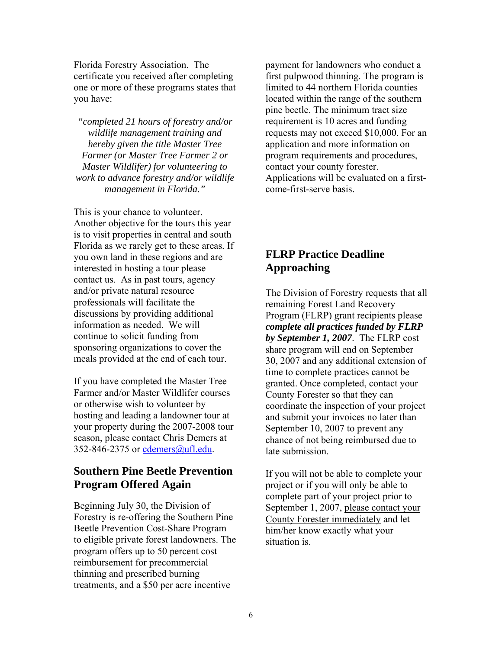Florida Forestry Association. The certificate you received after completing one or more of these programs states that you have:

*"completed 21 hours of forestry and/or wildlife management training and hereby given the title Master Tree Farmer (or Master Tree Farmer 2 or Master Wildlifer) for volunteering to work to advance forestry and/or wildlife management in Florida."* 

This is your chance to volunteer. Another objective for the tours this year is to visit properties in central and south Florida as we rarely get to these areas. If you own land in these regions and are interested in hosting a tour please contact us. As in past tours, agency and/or private natural resource professionals will facilitate the discussions by providing additional information as needed. We will continue to solicit funding from sponsoring organizations to cover the meals provided at the end of each tour.

If you have completed the Master Tree Farmer and/or Master Wildlifer courses or otherwise wish to volunteer by hosting and leading a landowner tour at your property during the 2007-2008 tour season, please contact Chris Demers at 352-846-2375 or [cdemers@ufl.edu.](mailto:cdemers@ufl.edu)

## **Southern Pine Beetle Prevention Program Offered Again**

Beginning July 30, the Division of Forestry is re-offering the Southern Pine Beetle Prevention Cost-Share Program to eligible private forest landowners. The program offers up to 50 percent cost reimbursement for precommercial thinning and prescribed burning treatments, and a \$50 per acre incentive

payment for landowners who conduct a first pulpwood thinning. The program is limited to 44 northern Florida counties located within the range of the southern pine beetle. The minimum tract size requirement is 10 acres and funding requests may not exceed \$10,000. For an application and more information on program requirements and procedures, contact your county forester. Applications will be evaluated on a firstcome-first-serve basis.

# **FLRP Practice Deadline Approaching**

The Division of Forestry requests that all remaining Forest Land Recovery Program (FLRP) grant recipients please *complete all practices funded by FLRP by September 1, 2007*. The FLRP cost share program will end on September 30, 2007 and any additional extension of time to complete practices cannot be granted. Once completed, contact your County Forester so that they can coordinate the inspection of your project and submit your invoices no later than September 10, 2007 to prevent any chance of not being reimbursed due to late submission.

If you will not be able to complete your project or if you will only be able to complete part of your project prior to September 1, 2007, please contact your County Forester immediately and let him/her know exactly what your situation is.